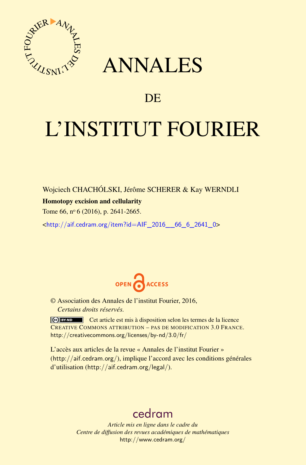

## ANNALES

### **DE**

# L'INSTITUT FOURIER

Wojciech CHACHÓLSKI, Jérôme SCHERER & Kay WERNDLI

#### Homotopy excision and cellularity

Tome 66, nº 6 (2016), p. 2641-2665.

 $\kappa$ http://aif.cedram.org/item?id=AIF 2016 66 6 2641 0>



© Association des Annales de l'institut Fourier, 2016, *Certains droits réservés.*

Cet article est mis à disposition selon les termes de la licence CREATIVE COMMONS ATTRIBUTION – PAS DE MODIFICATION 3.0 FRANCE. <http://creativecommons.org/licenses/by-nd/3.0/fr/>

L'accès aux articles de la revue « Annales de l'institut Fourier » (<http://aif.cedram.org/>), implique l'accord avec les conditions générales d'utilisation (<http://aif.cedram.org/legal/>).

## [cedram](http://www.cedram.org/)

*Article mis en ligne dans le cadre du Centre de diffusion des revues académiques de mathématiques* <http://www.cedram.org/>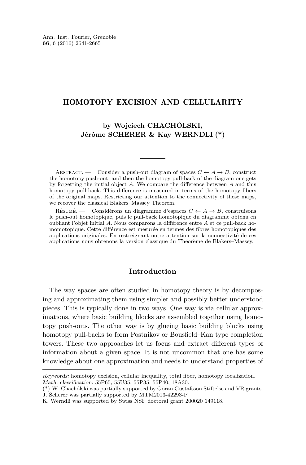#### HOMOTOPY EXCISION AND CELLULARITY

**by Wojciech CHACHÓLSKI, Jérôme SCHERER & Kay WERNDLI (\*)**

ABSTRACT. — Consider a push-out diagram of spaces  $C \leftarrow A \rightarrow B$ , construct the homotopy push-out, and then the homotopy pull-back of the diagram one gets by forgetting the initial object *A*. We compare the difference between *A* and this homotopy pull-back. This difference is measured in terms of the homotopy fibers of the original maps. Restricting our attention to the connectivity of these maps, we recover the classical Blakers–Massey Theorem.

RÉSUMÉ. — Considérons un diagramme d'espaces  $C \leftarrow A \rightarrow B$ , construisons le push-out homotopique, puis le pull-back homotopique du diagramme obtenu en oubliant l'objet initial *A*. Nous comparons la différence entre *A* et ce pull-back homomotopique. Cette différence est mesurée en termes des fibres homotopiques des applications originales. En restreignant notre attention sur la connectivité de ces applications nous obtenons la version classique du Théorème de Blakers–Massey.

#### **Introduction**

The way spaces are often studied in homotopy theory is by decomposing and approximating them using simpler and possibly better understood pieces. This is typically done in two ways. One way is via cellular approximations, where basic building blocks are assembled together using homotopy push-outs. The other way is by glueing basic building blocks using homotopy pull-backs to form Postnikov or Bousfield–Kan type completion towers. These two approaches let us focus and extract different types of information about a given space. It is not uncommon that one has some knowledge about one approximation and needs to understand properties of

Keywords: homotopy excision, cellular inequality, total fiber, homotopy localization. Math. classification: 55P65, 55U35, 55P35, 55P40, 18A30.

<sup>(\*)</sup> W. Chachólski was partially supported by Göran Gustafsson Stiftelse and VR grants. J. Scherer was partially supported by MTM2013-42293-P.

K. Werndli was supported by Swiss NSF doctoral grant 200020 149118.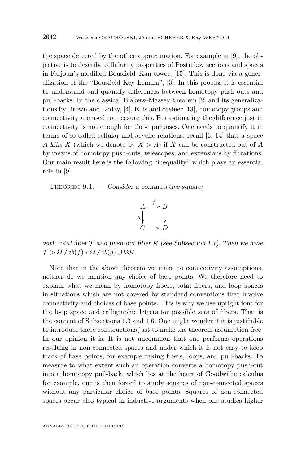the space detected by the other approximation. For example in [\[9\]](#page-24-0), the objective is to describe cellularity properties of Postnikov sections and spaces in Farjoun's modified Bousfield–Kan tower, [\[15\]](#page-24-1). This is done via a generalization of the "Bousfield Key Lemma", [\[3\]](#page-24-2). In this process it is essential to understand and quantify differences between homotopy push-outs and pull-backs. In the classical Blakers–Massey theorem [\[2\]](#page-24-3) and its generalizations by Brown and Loday, [\[4\]](#page-24-4), Ellis and Steiner [\[13\]](#page-24-5), homotopy groups and connectivity are used to measure this. But estimating the difference just in connectivity is not enough for these purposes. One needs to quantify it in terms of so called cellular and acyclic relations: recall [\[6,](#page-24-6) [14\]](#page-24-7) that a space *A* kills *X* (which we denote by *X > A*) if *X* can be constructed out of *A* by means of homotopy push-outs, telescopes, and extensions by fibrations. Our main result here is the following "inequality" which plays an essential role in [\[9\]](#page-24-0).

THEOREM  $9.1.$  — Consider a commutative square:



with total fiber  $\mathcal T$  and push-out fiber  $\mathcal R$  (see Subsection [1.7\)](#page-8-0). Then we have  $\mathcal{T} > \Omega \mathcal{F}ib(f) * \Omega \mathcal{F}ib(g) \cup \Omega \mathcal{R}.$ 

Note that in the above theorem we make no connectivity assumptions, neither do we mention any choice of base points. We therefore need to explain what we mean by homotopy fibers, total fibers, and loop spaces in situations which are not covered by standard conventions that involve connectivity and choices of base points. This is why we use upright font for the loop space and calligraphic letters for possible sets of fibers. That is the content of Subsections [1.3](#page-5-0) and [1.6.](#page-7-0) One might wonder if it is justifiable to introduce these constructions just to make the theorem assumption free. In our opinion it is. It is not uncommon that one performs operations resulting in non-connected spaces and under which it is not easy to keep track of base points, for example taking fibers, loops, and pull-backs. To measure to what extent such an operation converts a homotopy push-out into a homotopy pull-back, which lies at the heart of Goodwillie calculus for example, one is then forced to study squares of non-connected spaces without any particular choice of base points. Squares of non-connected spaces occur also typical in inductive arguments when one studies higher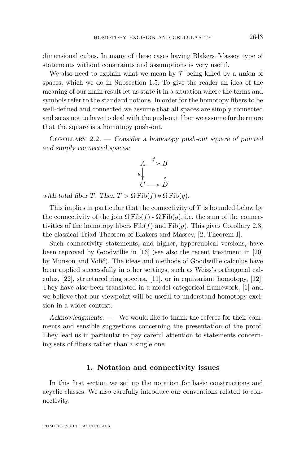dimensional cubes. In many of these cases having Blakers–Massey type of statements without constraints and assumptions is very useful.

We also need to explain what we mean by  $\mathcal T$  being killed by a union of spaces, which we do in Subsection [1.5.](#page-7-1) To give the reader an idea of the meaning of our main result let us state it in a situation where the terms and symbols refer to the standard notions. In order for the homotopy fibers to be well-defined and connected we assume that all spaces are simply connected and so as not to have to deal with the push-out fiber we assume furthermore that the square is a homotopy push-out.

COROLLARY  $2.2.$  — Consider a homotopy push-out square of pointed and simply connected spaces:



with total fiber *T*. Then  $T > \Omega$  Fib(*f*)  $* \Omega$  Fib(*q*).

This implies in particular that the connectivity of *T* is bounded below by the connectivity of the join  $\Omega$  Fib $(f) * \Omega$  Fib $(g)$ , i.e. the sum of the connectivities of the homotopy fibers  $\text{Fib}(f)$  and  $\text{Fib}(g)$ . This gives Corollary [2.3,](#page-10-1) the classical Triad Theorem of Blakers and Massey, [\[2,](#page-24-3) Theorem I].

Such connectivity statements, and higher, hypercubical versions, have been reproved by Goodwillie in [\[16\]](#page-24-8) (see also the recent treatment in [\[20\]](#page-24-9) by Munson and Volić). The ideas and methods of Goodwillie calculus have been applied successfully in other settings, such as Weiss's orthogonal calculus, [\[22\]](#page-24-10), structured ring spectra, [\[11\]](#page-24-11), or in equivariant homotopy, [\[12\]](#page-24-12). They have also been translated in a model categorical framework, [\[1\]](#page-24-13) and we believe that our viewpoint will be useful to understand homotopy excision in a wider context.

Acknowledgments. — We would like to thank the referee for their comments and sensible suggestions concerning the presentation of the proof. They lead us in particular to pay careful attention to statements concerning sets of fibers rather than a single one.

#### **1. Notation and connectivity issues**

In this first section we set up the notation for basic constructions and acyclic classes. We also carefully introduce our conventions related to connectivity.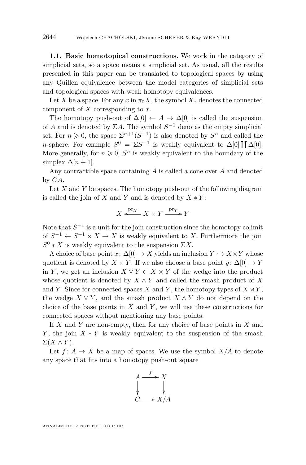**1.1. Basic homotopical constructions.** We work in the category of simplicial sets, so a space means a simplicial set. As usual, all the results presented in this paper can be translated to topological spaces by using any Quillen equivalence between the model categories of simplicial sets and topological spaces with weak homotopy equivalences.

Let *X* be a space. For any *x* in  $\pi_0 X$ , the symbol  $X_x$  denotes the connected component of *X* corresponding to *x*.

The homotopy push-out of  $\Delta[0] \leftarrow A \rightarrow \Delta[0]$  is called the suspension of *A* and is denoted by  $\Sigma A$ . The symbol  $S^{-1}$  denotes the empty simplicial set. For  $n \geq 0$ , the space  $\Sigma^{n+1}(S^{-1})$  is also denoted by  $S^n$  and called the *n*-sphere. For example  $S^0 = \Sigma S^{-1}$  is weakly equivalent to  $\Delta[0] \coprod \Delta[0]$ . More generally, for  $n \geqslant 0$ ,  $S<sup>n</sup>$  is weakly equivalent to the boundary of the simplex  $\Delta[n+1]$ .

Any contractible space containing *A* is called a cone over *A* and denoted by *CA*.

Let *X* and *Y* be spaces. The homotopy push-out of the following diagram is called the join of *X* and *Y* and is denoted by  $X * Y$ :

$$
X \xleftarrow{\text{pr}_X} X \times Y \xrightarrow{\text{pr}_Y} Y
$$

Note that  $S^{-1}$  is a unit for the join construction since the homotopy colimit of  $S^{-1}$  ←  $S^{-1}$  ×  $X$  →  $X$  is weakly equivalent to  $X$ . Furthermore the join  $S^0 * X$  is weakly equivalent to the suspension  $\Sigma X$ .

A choice of base point  $x: \Delta[0] \to X$  yields an inclusion  $Y \hookrightarrow X \times Y$  whose quotient is denoted by *X*  $\times$  *Y*. If we also choose a base point *y*:  $\Delta[0] \rightarrow Y$ in *Y*, we get an inclusion  $X \vee Y \subset X \times Y$  of the wedge into the product whose quotient is denoted by  $X \wedge Y$  and called the smash product of X and *Y*. Since for connected spaces *X* and *Y*, the homotopy types of  $X \rtimes Y$ , the wedge  $X \vee Y$ , and the smash product  $X \wedge Y$  do not depend on the choice of the base points in *X* and *Y* , we will use these constructions for connected spaces without mentioning any base points.

If *X* and *Y* are non-empty, then for any choice of base points in *X* and *Y*, the join *X* ∗ *Y* is weakly equivalent to the suspension of the smash  $\Sigma(X \wedge Y)$ .

Let  $f: A \to X$  be a map of spaces. We use the symbol  $X/A$  to denote any space that fits into a homotopy push-out square



ANNALES DE L'INSTITUT FOURIER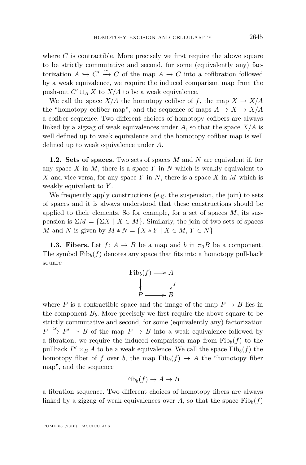where  $C$  is contractible. More precisely we first require the above square to be strictly commutative and second, for some (equivalently any) factorization  $A \hookrightarrow C' \xrightarrow{\simeq} C$  of the map  $A \to C$  into a cofibration followed by a weak equivalence, we require the induced comparison map from the push-out  $C' \cup_A X$  to  $X/A$  to be a weak equivalence.

We call the space  $X/A$  the homotopy cofiber of *f*, the map  $X \to X/A$ the "homotopy cofiber map", and the sequence of maps  $A \to X \to X/A$ a cofiber sequence. Two different choices of homotopy cofibers are always linked by a zigzag of weak equivalences under *A*, so that the space *X/A* is well defined up to weak equivalence and the homotopy cofiber map is well defined up to weak equivalence under *A*.

**1.2. Sets of spaces.** Two sets of spaces *M* and *N* are equivalent if, for any space  $X$  in  $M$ , there is a space  $Y$  in  $N$  which is weakly equivalent to *X* and vice-versa, for any space *Y* in *N*, there is a space *X* in *M* which is weakly equivalent to *Y* .

We frequently apply constructions (e.g. the suspension, the join) to sets of spaces and it is always understood that these constructions should be applied to their elements. So for example, for a set of spaces *M*, its suspension is  $\Sigma M = \{\Sigma X \mid X \in M\}$ . Similarly, the join of two sets of spaces *M* and *N* is given by  $M*N = \{X*Y \mid X \in M, Y \in N\}.$ 

<span id="page-5-0"></span>**1.3. Fibers.** Let  $f: A \rightarrow B$  be a map and *b* in  $\pi_0 B$  be a component. The symbol  $\text{Fib}_b(f)$  denotes any space that fits into a homotopy pull-back square

$$
\begin{array}{ccc}\n\text{Fib}_b(f) & \longrightarrow A \\
\downarrow & \downarrow f \\
P & \longrightarrow B\n\end{array}
$$

where P is a contractible space and the image of the map  $P \to B$  lies in the component  $B_b$ . More precisely we first require the above square to be strictly commutative and second, for some (equivalently any) factorization  $P \stackrel{\simeq}{\to} P' \twoheadrightarrow B$  of the map  $P \to B$  into a weak equivalence followed by a fibration, we require the induced comparison map from  $\text{Fib}_b(f)$  to the pullback  $P' \times_B A$  to be a weak equivalence. We call the space  $\text{Fib}_b(f)$  the homotopy fiber of *f* over *b*, the map  $\text{Fib}_b(f) \rightarrow A$  the "homotopy fiber map", and the sequence

$$
\text{Fib}_b(f) \to A \to B
$$

a fibration sequence. Two different choices of homotopy fibers are always linked by a zigzag of weak equivalences over A, so that the space  $\text{Fib}_b(f)$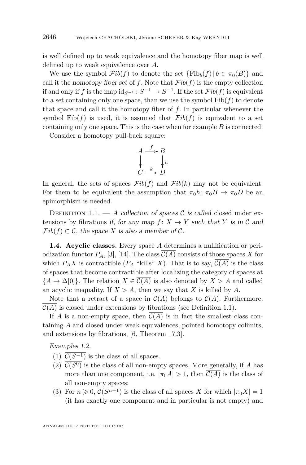is well defined up to weak equivalence and the homotopy fiber map is well defined up to weak equivalence over *A*.

We use the symbol  $\mathcal{F}ib(f)$  to denote the set  $\{\text{Fib}_b(f) | b \in \pi_0(B)\}\$  and call it the homotopy fiber set of f. Note that  $Fib(f)$  is the empty collection if and only if *f* is the map  $id_{S^{-1}}: S^{-1} \to S^{-1}$ . If the set  $\mathcal{F}ib(f)$  is equivalent to a set containing only one space, than we use the symbol  $\text{Fib}(f)$  to denote that space and call it the homotopy fiber of *f*. In particular whenever the symbol Fib( $f$ ) is used, it is assumed that  $Fib(f)$  is equivalent to a set containing only one space. This is the case when for example *B* is connected.

Consider a homotopy pull-back square:

$$
A \xrightarrow{f} B
$$
  
\n
$$
\downarrow^{h}
$$
  
\n
$$
C \xrightarrow{k} D
$$

In general, the sets of spaces  $\mathcal{F}ib(f)$  and  $\mathcal{F}ib(k)$  may not be equivalent. For them to be equivalent the assumption that  $\pi_0 h: \pi_0 B \to \pi_0 D$  be an epimorphism is needed.

<span id="page-6-0"></span>DEFINITION 1.1. — A collection of spaces C is called closed under extensions by fibrations if, for any map  $f: X \to Y$  such that Y is in C and  $\mathcal{F}ib(f) \subset \mathcal{C}$ , the space X is also a member of  $\mathcal{C}$ .

**1.4. Acyclic classes.** Every space *A* determines a nullification or periodization functor  $P_A$ , [\[3\]](#page-24-2), [\[14\]](#page-24-7). The class  $C(A)$  consists of those spaces X for which  $P_A X$  is contractible  $(P_A$  "kills" X). That is to say,  $\overline{C(A)}$  is the class of spaces that become contractible after localizing the category of spaces at  ${A \rightarrow \Delta[0]}$ . The relation  $X \in \mathcal{C}(A)$  is also denoted by  $X > A$  and called an acyclic inequality. If  $X > A$ , then we say that *X* is killed by *A*.

Note that a retract of a space in  $\overline{C(A)}$  belongs to  $\overline{C(A)}$ . Furthermore,  $\mathcal{C}(A)$  is closed under extensions by fibrations (see Definition [1.1\)](#page-6-0).

If *A* is a non-empty space, then  $C(A)$  is in fact the smallest class containing *A* and closed under weak equivalences, pointed homotopy colimits, and extensions by fibrations, [\[6,](#page-24-6) Theorem 17.3].

<span id="page-6-1"></span>Examples 1.2.

- (1)  $\overline{\mathcal{C}(S^{-1})}$  is the class of all spaces.
- (2)  $\overline{\mathcal{C}(S^0)}$  is the class of all non-empty spaces. More generally, if *A* has more than one component, i.e.  $|\pi_0 A| > 1$ , then  $\overline{C(A)}$  is the class of all non-empty spaces;
- (3) For  $n \geq 0$ ,  $\overline{\mathcal{C}(S^{n+1})}$  is the class of all spaces X for which  $|\pi_0 X| = 1$ (it has exactly one component and in particular is not empty) and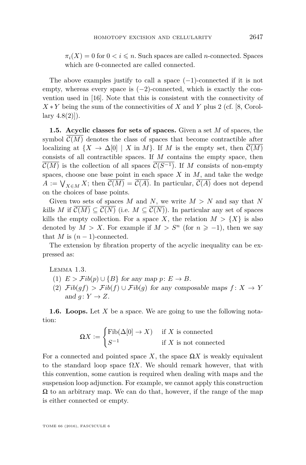$\pi_i(X) = 0$  for  $0 < i \leq n$ . Such spaces are called *n*-connected. Spaces which are 0-connected are called connected.

The above examples justify to call a space  $(-1)$ -connected if it is not empty, whereas every space is  $(-2)$ -connected, which is exactly the convention used in [\[16\]](#page-24-8). Note that this is consistent with the connectivity of *X* ∗ *Y* being the sum of the connectivities of *X* and *Y* plus 2 (cf. [\[8,](#page-24-14) Corollary  $4.8(2)$ ].

<span id="page-7-1"></span>**1.5. Acyclic classes for sets of spaces.** Given a set *M* of spaces, the symbol  $\mathcal{C}(M)$  denotes the class of spaces that become contractible after localizing at  $\{X \to \Delta[0] \mid X \text{ in } M\}$ . If *M* is the empty set, then  $\overline{\mathcal{C}(M)}$ consists of all contractible spaces. If *M* contains the empty space, then  $\mathcal{C}(M)$  is the collection of all spaces  $\mathcal{C}(S^{-1})$ . If M consists of non-empty spaces, choose one base point in each space  $X$  in  $M$ , and take the wedge  $A := \bigvee_{X \in M} X$ ; then  $C(M) = C(A)$ . In particular,  $C(A)$  does not depend on the choices of base points.

Given two sets of spaces  $M$  and  $N$ , we write  $M > N$  and say that  $N$ kills *M* if  $\overline{C(M)} \subseteq \overline{C(N)}$  (i.e.  $M \subseteq \overline{C(N)}$ ). In particular any set of spaces kills the empty collection. For a space X, the relation  $M > \{X\}$  is also denoted by  $M > X$ . For example if  $M > S^n$  (for  $n \ge -1$ ), then we say that *M* is  $(n-1)$ -connected.

The extension by fibration property of the acyclic inequality can be expressed as:

<span id="page-7-2"></span>Lemma 1.3.

- (1)  $E > \mathcal{F}ib(p) \cup \{B\}$  for any map  $p: E \to B$ .
- (2)  $Fib(af) > Fib(f) \cup Fib(g)$  for any composable maps  $f: X \rightarrow Y$ and  $g: Y \to Z$ .

<span id="page-7-0"></span>**1.6. Loops.** Let *X* be a space. We are going to use the following notation:

$$
\Omega X := \begin{cases} \text{Fib}(\Delta[0] \to X) & \text{if } X \text{ is connected} \\ S^{-1} & \text{if } X \text{ is not connected} \end{cases}
$$

For a connected and pointed space  $X$ , the space  $\Omega X$  is weakly equivalent to the standard loop space  $\Omega X$ . We should remark however, that with this convention, some caution is required when dealing with maps and the suspension loop adjunction. For example, we cannot apply this construction  $\Omega$  to an arbitrary map. We can do that, however, if the range of the map is either connected or empty.

TOME 66 (2016), FASCICULE 6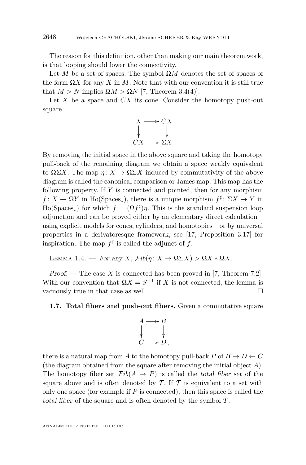The reason for this definition, other than making our main theorem work, is that looping should lower the connectivity.

Let *M* be a set of spaces. The symbol  $\Omega M$  denotes the set of spaces of the form  $\Omega X$  for any *X* in *M*. Note that with our convention it is still true that  $M > N$  implies  $\Omega M > \Omega N$  [\[7,](#page-24-15) Theorem 3.4(4)].

Let *X* be a space and *CX* its cone. Consider the homotopy push-out square



By removing the initial space in the above square and taking the homotopy pull-back of the remaining diagram we obtain a space weakly equivalent to  $\Omega \Sigma X$ . The map  $\eta: X \to \Omega \Sigma X$  induced by commutativity of the above diagram is called the canonical comparison or James map. This map has the following property. If *Y* is connected and pointed, then for any morphism  $f: X \to \Omega Y$  in Ho(Spaces<sub>\*</sub>), there is a unique morphism  $f^{\sharp}: \Sigma X \to Y$  in  $\text{Ho}(\text{Spaces}_*)$  for which  $f = (\Omega f^{\sharp})\eta$ . This is the standard suspension loop adjunction and can be proved either by an elementary direct calculation – using explicit models for cones, cylinders, and homotopies – or by universal properties in a derivatoresque framework, see [\[17,](#page-24-16) Proposition 3.17] for inspiration. The map  $f^{\sharp}$  is called the adjunct of  $f$ .

<span id="page-8-1"></span>LEMMA 1.4. — For any X, 
$$
\mathcal{F}ib(\eta: X \to \Omega \Sigma X) > \Omega X * \Omega X
$$
.

Proof. — The case  $X$  is connected has been proved in [\[7,](#page-24-15) Theorem 7.2]. With our convention that  $\Omega X = S^{-1}$  if *X* is not connected, the lemma is vacuously true in that case as well.  $\Box$ 

#### <span id="page-8-0"></span>**1.7. Total fibers and push-out fibers.** Given a commutative square



there is a natural map from *A* to the homotopy pull-back  $P$  of  $B \to D \leftarrow C$ (the diagram obtained from the square after removing the initial object *A*). The homotopy fiber set  $\mathcal{F}ib(A \to P)$  is called the total fiber set of the square above and is often denoted by  $\mathcal T$ . If  $\mathcal T$  is equivalent to a set with only one space (for example if *P* is connected), then this space is called the total fiber of the square and is often denoted by the symbol *T*.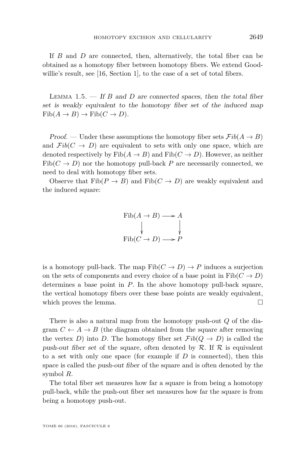If *B* and *D* are connected, then, alternatively, the total fiber can be obtained as a homotopy fiber between homotopy fibers. We extend Good-willie's result, see [\[16,](#page-24-8) Section 1], to the case of a set of total fibers.

<span id="page-9-0"></span>LEMMA  $1.5.$  — If *B* and *D* are connected spaces, then the total fiber set is weakly equivalent to the homotopy fiber set of the induced map  $Fib(A \to B) \to Fib(C \to D).$ 

Proof. — Under these assumptions the homotopy fiber sets  $\mathcal{F}ib(A \to B)$ and  $\mathcal{F}ib(C \to D)$  are equivalent to sets with only one space, which are denoted respectively by Fib $(A \rightarrow B)$  and Fib $(C \rightarrow D)$ . However, as neither  $Fib(C \rightarrow D)$  nor the homotopy pull-back P are necessarily connected, we need to deal with homotopy fiber sets.

Observe that  $Fib(P \to B)$  and  $Fib(C \to D)$  are weakly equivalent and the induced square:

$$
\begin{array}{ccc}\n\text{Fib}(A \to B) & \longrightarrow A \\
\downarrow & & \downarrow \\
\text{Fib}(C \to D) & \longrightarrow P\n\end{array}
$$

is a homotopy pull-back. The map  $\text{Fib}(C \to D) \to P$  induces a surjection on the sets of components and every choice of a base point in  $\text{Fib}(C \to D)$ determines a base point in *P*. In the above homotopy pull-back square, the vertical homotopy fibers over these base points are weakly equivalent, which proves the lemma.  $\Box$ 

There is also a natural map from the homotopy push-out *Q* of the diagram  $C \leftarrow A \rightarrow B$  (the diagram obtained from the square after removing the vertex *D*) into *D*. The homotopy fiber set  $\mathcal{F}ib(Q \to D)$  is called the push-out fiber set of the square, often denoted by  $\mathcal{R}$ . If  $\mathcal{R}$  is equivalent to a set with only one space (for example if *D* is connected), then this space is called the push-out fiber of the square and is often denoted by the symbol *R*.

The total fiber set measures how far a square is from being a homotopy pull-back, while the push-out fiber set measures how far the square is from being a homotopy push-out.

TOME 66 (2016), FASCICULE 6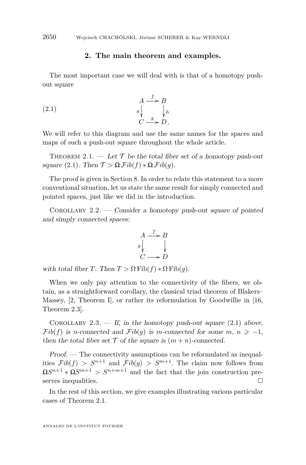#### <span id="page-10-2"></span>**2. The main theorem and examples.**

The most important case we will deal with is that of a homotopy pushout square

(2.1) 
$$
A \xrightarrow{f} B
$$

$$
g \downarrow \qquad \qquad \downarrow h
$$

$$
C \xrightarrow{k} D.
$$

We will refer to this diagram and use the same names for the spaces and maps of such a push-out square throughout the whole article.

<span id="page-10-3"></span>THEOREM 2.1. — Let  $\mathcal T$  be the total fiber set of a homotopy push-out square [\(2.1\)](#page-10-2). Then  $\mathcal{T} > \Omega \mathcal{F}ib(f) * \Omega \mathcal{F}ib(g)$ .

The proof is given in Section [8.](#page-20-0) In order to relate this statement to a more conventional situation, let us state the same result for simply connected and pointed spaces, just like we did in the introduction.

<span id="page-10-0"></span>COROLLARY  $2.2.$  — Consider a homotopy push-out square of pointed and simply connected spaces:

$$
A \xrightarrow{f} B
$$
  
 
$$
g \downarrow \qquad \qquad \downarrow
$$
  
 
$$
C \longrightarrow D
$$

with total fiber *T*. Then  $T > \Omega$  Fib $(f) * \Omega$  Fib $(g)$ .

When we only pay attention to the connectivity of the fibers, we obtain, as a straightforward corollary, the classical triad theorem of Blakers– Massey, [\[2,](#page-24-3) Theorem I], or rather its reformulation by Goodwillie in [\[16,](#page-24-8) Theorem 2.3].

<span id="page-10-1"></span>COROLLARY 2.3. — If, in the homotopy push-out square  $(2.1)$  above,  $Fib(f)$  is *n*-connected and  $Fib(g)$  is *m*-connected for some  $m, n \geq -1$ , then the total fiber set  $\mathcal T$  of the square is  $(m+n)$ -connected.

Proof. — The connectivity assumptions can be reformulated as inequalities  $Fib(f) > S^{n+1}$  and  $Fib(g) > S^{m+1}$ . The claim now follows from  $\Omega S^{n+1} * \Omega S^{m+1} > S^{n+m+1}$  and the fact that the join construction preserves inequalities.  $\Box$ 

In the rest of this section, we give examples illustrating various particular cases of Theorem [2.1.](#page-10-3)

ANNALES DE L'INSTITUT FOURIER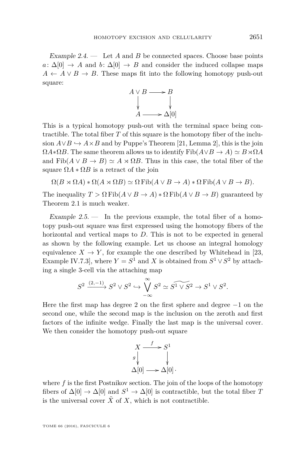Example 2.4. — Let *A* and *B* be connected spaces. Choose base points  $a: \Delta[0] \rightarrow A$  and  $b: \Delta[0] \rightarrow B$  and consider the induced collapse maps  $A \leftarrow A \vee B \rightarrow B$ . These maps fit into the following homotopy push-out square:



This is a typical homotopy push-out with the terminal space being contractible. The total fiber *T* of this square is the homotopy fiber of the inclusion  $A \vee B \hookrightarrow A \times B$  and by Puppe's Theorem [\[21,](#page-24-17) Lemma 2], this is the join  $\Omega A * \Omega B$ . The same theorem allows us to identify  $\text{Fib}(A \lor B \to A) \simeq B \rtimes \Omega A$ and Fib( $A \vee B \rightarrow B$ )  $\simeq A \rtimes \Omega B$ . Thus in this case, the total fiber of the square  $\Omega A * \Omega B$  is a retract of the join

$$
\Omega(B \rtimes \Omega A) * \Omega(A \rtimes \Omega B) \simeq \Omega \operatorname{Fib}(A \lor B \to A) * \Omega \operatorname{Fib}(A \lor B \to B).
$$

The inequality  $T > \Omega$  Fib( $A \lor B \to A$ )  $* \Omega$  Fib( $A \lor B \to B$ ) guaranteed by Theorem [2.1](#page-10-3) is much weaker.

Example  $2.5$  — In the previous example, the total fiber of a homotopy push-out square was first expressed using the homotopy fibers of the horizontal and vertical maps to *D*. This is not to be expected in general as shown by the following example. Let us choose an integral homology equivalence  $X \to Y$ , for example the one described by Whitehead in [\[23,](#page-24-18) Example IV.7.3, where  $Y = S^1$  and X is obtained from  $S^1 \vee S^2$  by attaching a single 3-cell via the attaching map

$$
S^2 \xrightarrow{(2,-1)} S^2 \vee S^2 \hookrightarrow \bigvee_{-\infty}^{\infty} S^2 \simeq \widetilde{S^1 \vee S^2} \to S^1 \vee S^2.
$$

Here the first map has degree 2 on the first sphere and degree  $-1$  on the second one, while the second map is the inclusion on the zeroth and first factors of the infinite wedge. Finally the last map is the universal cover. We then consider the homotopy push-out square

$$
X \xrightarrow{f} S^1
$$
  
\n
$$
g \downarrow \qquad \qquad \downarrow
$$
  
\n
$$
\Delta[0] \longrightarrow \Delta[0].
$$

where f is the first Postnikov section. The join of the loops of the homotopy fibers of  $\Delta[0] \to \Delta[0]$  and  $S^1 \to \Delta[0]$  is contractible, but the total fiber *T* is the universal cover  $\tilde{X}$  of *X*, which is not contractible.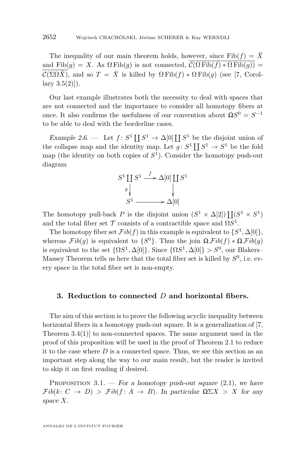The inequality of our main theorem holds, however, since  $\text{Fib}(f) = \tilde{X}$ and  $\text{Fib}(q) = X$ . As  $\Omega \text{Fib}(q)$  is not connected,  $\overline{C(\Omega \text{Fib}(f) * \Omega \text{Fib}(q))}$  $\overline{\mathcal{C}(\Sigma\Omega\tilde{X})}$ , and so  $T=\tilde{X}$  is killed by  $\Omega\operatorname{Fib}(f) * \Omega\operatorname{Fib}(g)$  (see [\[7,](#page-24-15) Corol $lary 3.5(2)$ ].

Our last example illustrates both the necessity to deal with spaces that are not connected and the importance to consider all homotopy fibers at once. It also confirms the usefulness of our convention about  $\Omega S^0 = S^{-1}$ to be able to deal with the borderline cases.

Example 2.6. — Let  $f: S^1 \coprod S^1 \to \Delta[0] \coprod S^1$  be the disjoint union of the collapse map and the identity map. Let  $g: S^1 \coprod S^1 \to S^1$  be the fold map (the identity on both copies of  $S<sup>1</sup>$ ). Consider the homotopy push-out diagram



The homotopy pull-back *P* is the disjoint union  $(S^1 \times \Delta[2]) \coprod (S^1 \times S^1)$ and the total fiber set  $\mathcal T$  consists of a contractible space and  $\Omega S^1$ .

The homotopy fiber set  $\mathcal{F}ib(f)$  in this example is equivalent to  $\{S^1, \Delta[0]\},$ whereas  $\mathcal{F}ib(g)$  is equivalent to  $\{S^0\}$ . Thus the join  $\Omega \mathcal{F}ib(f) * \Omega \mathcal{F}ib(g)$ is equivalent to the set  $\{\Omega S^1, \Delta[0]\}\$ . Since  $\{\Omega S^1, \Delta[0]\} > S^0$ , our Blakers– Massey Theorem tells us here that the total fiber set is killed by  $S^0$ , i.e. every space in the total fiber set is non-empty.

#### <span id="page-12-1"></span>**3. Reduction to connected** *D* **and horizontal fibers.**

The aim of this section is to prove the following acyclic inequality between horizontal fibers in a homotopy push-out square. It is a generalization of [\[7,](#page-24-15) Theorem 3.4(1)] to non-connected spaces. The same argument used in the proof of this proposition will be used in the proof of Theorem [2.1](#page-10-3) to reduce it to the case where *D* is a connected space. Thus, we see this section as an important step along the way to our main result, but the reader is invited to skip it on first reading if desired.

<span id="page-12-0"></span>PROPOSITION 3.1. — For a homotopy push-out square  $(2.1)$ , we have  $Fib(k: C \rightarrow D) > Fib(f: A \rightarrow B)$ . In particular  $\Omega \Sigma X > X$  for any space *X*.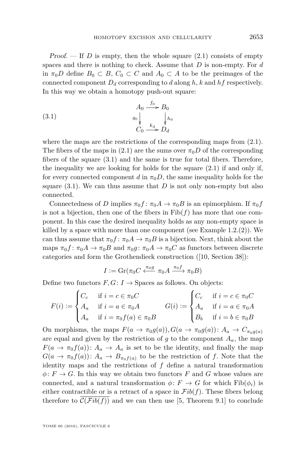Proof.  $\overline{\phantom{a}}$  If *D* is empty, then the whole square [\(2.1\)](#page-10-2) consists of empty spaces and there is nothing to check. Assume that *D* is non-empty. For *d* in  $\pi_0 D$  define  $B_0 \subset B$ ,  $C_0 \subset C$  and  $A_0 \subset A$  to be the preimages of the connected component  $D_d$  corresponding to *d* along *h*, *k* and *hf* respectively. In this way we obtain a homotopy push-out square:

<span id="page-13-0"></span>
$$
\begin{array}{ccc}\n & A_0 \xrightarrow{f_0} B_0 \\
\downarrow^{g_0} & \downarrow^{h_0} \\
C_0 \xrightarrow{k_d} D_d\n\end{array}
$$

where the maps are the restrictions of the corresponding maps from  $(2.1)$ . The fibers of the maps in [\(2.1\)](#page-10-2) are the sums over  $\pi_0 D$  of the corresponding fibers of the square [\(3.1\)](#page-13-0) and the same is true for total fibers. Therefore, the inequality we are looking for holds for the square [\(2.1\)](#page-10-2) if and only if, for every connected component *d* in  $\pi_0 D$ , the same inequality holds for the square  $(3.1)$ . We can thus assume that *D* is not only non-empty but also connected.

Connectedness of *D* implies  $\pi_0 f : \pi_0 A \to \pi_0 B$  is an epimorphism. If  $\pi_0 f$ is not a bijection, then one of the fibers in  $Fib(f)$  has more that one component. In this case the desired inequality holds as any non-empty space is killed by a space with more than one component (see Example [1.2.](#page-6-1)(2)). We can thus assume that  $\pi_0 f : \pi_0 A \to \pi_0 B$  is a bijection. Next, think about the maps  $\pi_0 f : \pi_0 A \to \pi_0 B$  and  $\pi_0 g : \pi_0 A \to \pi_0 C$  as functors between discrete categories and form the Grothendieck construction ([\[10,](#page-24-19) Section 38]):

$$
I := \mathrm{Gr}(\pi_0 C \xleftarrow{\pi_0 g} \pi_0 A \xrightarrow{\pi_0 f} \pi_0 B)
$$

Define two functors  $F, G: I \to$  Spaces as follows. On objects:

$$
F(i) := \begin{cases} C_c & \text{if } i = c \in \pi_0 C \\ A_a & \text{if } i = a \in \pi_0 A \\ A_a & \text{if } i = \pi_0 f(a) \in \pi_0 B \end{cases} \qquad G(i) := \begin{cases} C_c & \text{if } i = c \in \pi_0 C \\ A_a & \text{if } i = a \in \pi_0 A \\ B_b & \text{if } i = b \in \pi_0 B \end{cases}
$$

On morphisms, the maps  $F(a \to \pi_0 g(a))$ ,  $G(a \to \pi_0 g(a))$ :  $A_a \to C_{\pi_0 g(a)}$ are equal and given by the restriction of  $g$  to the component  $A_a$ , the map  $F(a \to \pi_0 f(a))$ :  $A_a \to A_a$  is set to be the identity, and finally the map  $G(a \to \pi_0 f(a))$ :  $A_a \to B_{\pi_0 f(a)}$  to be the restriction of *f*. Note that the identity maps and the restrictions of *f* define a natural transformation  $\phi: F \to G$ . In this way we obtain two functors *F* and *G* whose values are connected, and a natural transformation  $\phi: F \to G$  for which Fib( $\phi_i$ ) is either contractible or is a retract of a space in  $\mathcal{F}ib(f)$ . These fibers belong therefore to  $\mathcal{C}(\mathcal{F}ib(f))$  and we can then use [\[5,](#page-24-20) Theorem 9.1] to conclude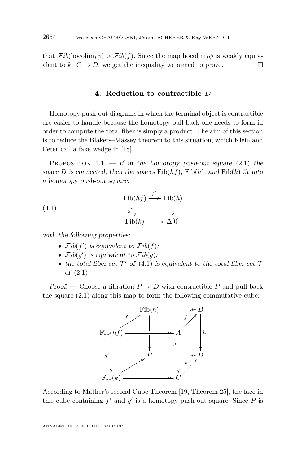that  $\mathcal{F}ib(\text{hocolim}_{I}\phi) > \mathcal{F}ib(f)$ . Since the map hocolim<sub>I</sub> $\phi$  is weakly equivalent to  $k: C \to D$ , we get the inequality we aimed to prove.

#### **4. Reduction to contractible** *D*

Homotopy push-out diagrams in which the terminal object is contractible are easier to handle because the homotopy pull-back one needs to form in order to compute the total fiber is simply a product. The aim of this section is to reduce the Blakers–Massey theorem to this situation, which Klein and Peter call a fake wedge in [\[18\]](#page-24-21).

<span id="page-14-1"></span>PROPOSITION  $4.1.$  If in the homotopy push-out square  $(2.1)$  the space *D* is connected, then the spaces  $\text{Fib}(hf)$ ,  $\text{Fib}(h)$ , and  $\text{Fib}(k)$  fit into a homotopy push-out square:

<span id="page-14-0"></span>(4.1)  
\n
$$
\begin{array}{ccc}\n\text{Fib}(hf) & \xrightarrow{f'} & \text{Fib}(h) \\
\downarrow & & \downarrow \\
\text{Fib}(k) & \xrightarrow{\quad} \Delta[0]\n\end{array}
$$

with the following properties:

- $Fib(f')$  is equivalent to  $Fib(f)$ ;
- $Fib(g')$  is equivalent to  $Fib(g)$ ;
- the total fiber set  $\mathcal{T}'$  of [\(4.1\)](#page-14-0) is equivalent to the total fiber set  $\mathcal{T}$ of [\(2.1\)](#page-10-2).

Proof. — Choose a fibration  $P \rightarrow D$  with contractible P and pull-back the square [\(2.1\)](#page-10-2) along this map to form the following commutative cube:



According to Mather's second Cube Theorem [\[19,](#page-24-22) Theorem 25], the face in this cube containing  $f'$  and  $g'$  is a homotopy push-out square. Since  $P$  is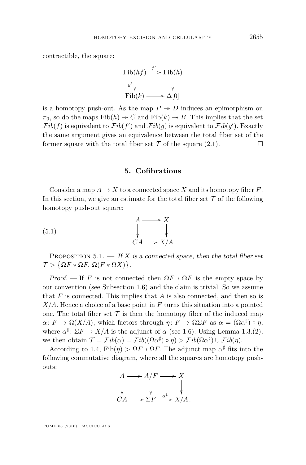contractible, the square:

$$
\text{Fib}(hf) \xrightarrow{f'} \text{Fib}(h)
$$
\n
$$
g' \downarrow \qquad \qquad \downarrow
$$
\n
$$
\text{Fib}(k) \longrightarrow \Delta[0]
$$

is a homotopy push-out. As the map  $P \rightarrow D$  induces an epimorphism on  $\pi_0$ , so do the maps  $\text{Fib}(h) \rightarrow C$  and  $\text{Fib}(k) \rightarrow B$ . This implies that the set  $Fib(f)$  is equivalent to  $Fib(f')$  and  $Fib(g)$  is equivalent to  $Fib(g')$ . Exactly the same argument gives an equivalence between the total fiber set of the former square with the total fiber set  $\mathcal T$  of the square [\(2.1\)](#page-10-2).

#### **5. Cofibrations**

Consider a map  $A \to X$  to a connected space X and its homotopy fiber F. In this section, we give an estimate for the total fiber set  $\mathcal T$  of the following homotopy push-out square:

$$
\begin{array}{ccc}\n & A \longrightarrow X \\
 & \downarrow & \downarrow \\
 & C A \longrightarrow X/A\n\end{array}
$$
\n
$$
(5.1)
$$

<span id="page-15-0"></span>PROPOSITION  $5.1.$  — If *X* is a connected space, then the total fiber set  $\mathcal{T} > \big\{\Omega F \ast \Omega F,\, \Omega (F \ast \Omega X)\big\}.$ 

Proof. — If *F* is not connected then  $\Omega F * \Omega F$  is the empty space by our convention (see Subsection [1.6\)](#page-7-0) and the claim is trivial. So we assume that  $F$  is connected. This implies that  $A$  is also connected, and then so is *X/A*. Hence a choice of a base point in *F* turns this situation into a pointed one. The total fiber set  $\mathcal T$  is then the homotopy fiber of the induced map  $\alpha \colon F \to \Omega(X/A)$ , which factors through  $\eta \colon F \to \Omega \Sigma F$  as  $\alpha = (\Omega \alpha^{\sharp}) \circ \eta$ , where  $\alpha^{\sharp}$ :  $\Sigma F \to X/A$  is the adjunct of  $\alpha$  (see [1.6\)](#page-7-0). Using Lemma [1.3.](#page-7-2)(2), we then obtain  $\mathcal{T} = \mathcal{F}ib(\alpha) = \mathcal{F}ib((\Omega \alpha^{\sharp}) \circ \eta) > \mathcal{F}ib(\Omega \alpha^{\sharp}) \cup \mathcal{F}ib(\eta)$ .

According to [1.4,](#page-8-1)  $\text{Fib}(\eta) > \Omega F * \Omega F$ . The adjunct map  $\alpha^{\sharp}$  fits into the following commutative diagram, where all the squares are homotopy pushouts:

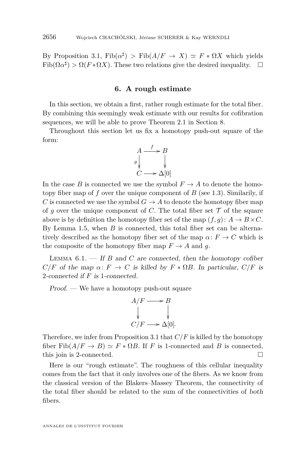By Proposition [3.1,](#page-12-0)  $\text{Fib}(\alpha^{\sharp})$  >  $\text{Fib}(A/F \rightarrow X) \simeq F * \Omega X$  which yields  $\text{Fib}(\Omega \alpha^{\sharp}) > \Omega(F \ast \Omega X)$ . These two relations give the desired inequality.  $\square$ 

#### **6. A rough estimate**

In this section, we obtain a first, rather rough estimate for the total fiber. By combining this seemingly weak estimate with our results for cofibration sequences, we will be able to prove Theorem [2.1](#page-10-3) in Section [8.](#page-20-0)

Throughout this section let us fix a homotopy push-out square of the form:



In the case *B* is connected we use the symbol  $F \to A$  to denote the homotopy fiber map of *f* over the unique component of *B* (see [1.3\)](#page-5-0). Similarily, if *C* is connected we use the symbol  $G \to A$  to denote the homotopy fiber map of *g* over the unique component of *C*. The total fiber set  $\mathcal T$  of the square above is by definition the homotopy fiber set of the map  $(f, g): A \to B \times C$ . By Lemma [1.5,](#page-9-0) when *B* is connected, this total fiber set can be alternatively described as the homotopy fiber set of the map  $\alpha: F \to C$  which is the composite of the homotopy fiber map  $F \to A$  and g.

<span id="page-16-0"></span>LEMMA  $6.1.$  – If *B* and *C* are connected, then the homotopy cofiber  $C/F$  of the map  $\alpha: F \to C$  is killed by  $F * \Omega B$ . In particular,  $C/F$  is 2-connected if *F* is 1-connected.

Proof. — We have a homotopy push-out square

$$
A/F \longrightarrow B
$$
  
\n
$$
\downarrow \qquad \qquad \downarrow
$$
  
\n
$$
C/F \longrightarrow \Delta[0].
$$

Therefore, we infer from Proposition [3.1](#page-12-0) that *C/F* is killed by the homotopy fiber Fib $(A/F \rightarrow B) \simeq F * \Omega B$ . If *F* is 1-connected and *B* is connected, this join is 2-connected.

Here is our "rough estimate". The roughness of this cellular inequality comes from the fact that it only involves one of the fibers. As we know from the classical version of the Blakers–Massey Theorem, the connectivity of the total fiber should be related to the sum of the connectivities of both fibers.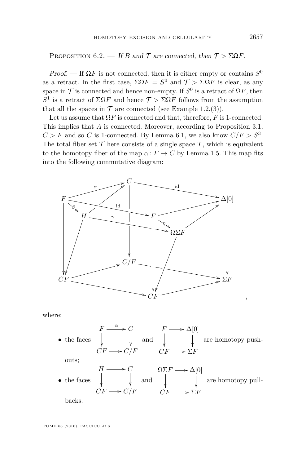<span id="page-17-0"></span>PROPOSITION 6.2. — If *B* and  $\mathcal T$  are connected, then  $\mathcal T > \Sigma \Omega F$ .

Proof. — If  $\Omega F$  is not connected, then it is either empty or contains  $S^0$ as a retract. In the first case,  $\Sigma \Omega F = S^0$  and  $\mathcal{T} > \Sigma \Omega F$  is clear, as any space in  $\mathcal T$  is connected and hence non-empty. If  $S^0$  is a retract of  $\Omega F$ , then *S*<sup>1</sup> is a retract of ΣΩ*F* and hence  $\mathcal{T} > \Sigma \Omega F$  follows from the assumption that all the spaces in  $\mathcal T$  are connected (see Example [1.2.](#page-6-1)(3)).

Let us assume that  $\Omega F$  is connected and that, therefore,  $F$  is 1-connected. This implies that *A* is connected. Moreover, according to Proposition [3.1,](#page-12-0)  $C > F$  and so *C* is 1-connected. By Lemma [6.1,](#page-16-0) we also know  $C/F > S^3$ . The total fiber set  $\mathcal T$  here consists of a single space  $T$ , which is equivalent to the homotopy fiber of the map  $\alpha: F \to C$  by Lemma [1.5.](#page-9-0) This map fits into the following commutative diagram:



where:

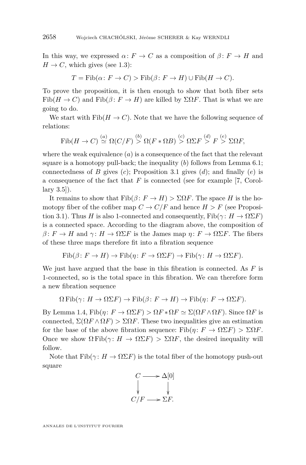In this way, we expressed  $\alpha: F \to C$  as a composition of  $\beta: F \to H$  and  $H \rightarrow C$ , which gives (see [1.3\)](#page-7-2):

$$
T = \text{Fib}(\alpha \colon F \to C) > \text{Fib}(\beta \colon F \to H) \cup \text{Fib}(H \to C).
$$

To prove the proposition, it is then enough to show that both fiber sets Fib( $H \to C$ ) and Fib( $\beta: F \to H$ ) are killed by  $\Sigma \Omega F$ . That is what we are going to do.

We start with  $\text{Fib}(H \to C)$ . Note that we have the following sequence of relations:

$$
\mathrm{Fib}(H \to C) \stackrel{(a)}{\simeq} \Omega(C/F) \stackrel{(b)}{>} \Omega(F * \Omega B) \stackrel{(c)}{>} \Omega \Sigma F \stackrel{(d)}{>} F \stackrel{(e)}{>} \Sigma \Omega F,
$$

where the weak equivalence  $(a)$  is a consequence of the fact that the relevant square is a homotopy pull-back; the inequality (*b*) follows from Lemma [6.1;](#page-16-0) connectedness of *B* gives (*c*); Proposition [3.1](#page-12-0) gives (*d*); and finally (*e*) is a consequence of the fact that *F* is connected (see for example [\[7,](#page-24-15) Corollary 3.5]).

It remains to show that  $\text{Fib}(\beta: F \to H) > \Sigma \Omega F$ . The space *H* is the homotopy fiber of the cofiber map  $C \to C/F$  and hence  $H > F$  (see Proposi-tion [3.1\)](#page-12-0). Thus *H* is also 1-connected and consequently, Fib( $\gamma$ :  $H \to \Omega \Sigma F$ ) is a connected space. According to the diagram above, the composition of *β*: *F* → *H* and  $γ$ : *H* →  $ΩΣF$  is the James map *η*: *F* →  $ΩΣF$ . The fibers of these three maps therefore fit into a fibration sequence

$$
Fib(\beta: F \to H) \to Fib(\eta: F \to \Omega \Sigma F) \to Fib(\gamma: H \to \Omega \Sigma F).
$$

We just have argued that the base in this fibration is connected. As *F* is 1-connected, so is the total space in this fibration. We can therefore form a new fibration sequence

$$
\Omega \operatorname{Fib}(\gamma: H \to \Omega \Sigma F) \to \operatorname{Fib}(\beta: F \to H) \to \operatorname{Fib}(\eta: F \to \Omega \Sigma F).
$$

By Lemma [1.4,](#page-8-1)  $\text{Fib}(n: F \to \Omega \Sigma F) > \Omega F * \Omega F \simeq \Sigma(\Omega F \wedge \Omega F)$ . Since  $\Omega F$  is connected,  $\Sigma(\Omega F \wedge \Omega F) > \Sigma \Omega F$ . These two inequalities give an estimation for the base of the above fibration sequence: Fib $(\eta: F \to \Omega \Sigma F) > \Sigma \Omega F$ . Once we show  $\Omega$  Fib( $\gamma$ : *H*  $\rightarrow$   $\Omega$ Σ*F*)  $>$  Σ $\Omega$ *F*, the desired inequality will follow.

Note that  $\text{Fib}(\gamma: H \to \Omega \Sigma F)$  is the total fiber of the homotopy push-out square



ANNALES DE L'INSTITUT FOURIER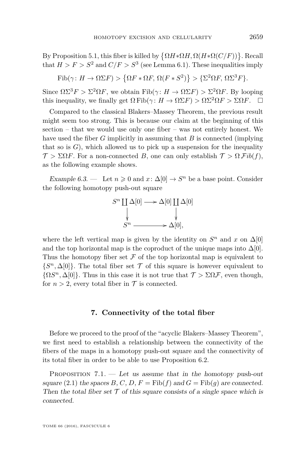By Proposition [5.1,](#page-15-0) this fiber is killed by  $\{ \Omega H \ast \Omega H, \Omega(H \ast \Omega(C/F)) \}$ . Recall that  $H > F > S^2$  and  $C/F > S^3$  (see Lemma [6.1\)](#page-16-0). These inequalities imply

$$
\text{Fib}(\gamma: H \to \Omega \Sigma F) > \{ \Omega F \ast \Omega F, \Omega (F \ast S^2) \} > \{ \Sigma^2 \Omega F, \Omega \Sigma^3 F \}.
$$

Since  $\Omega \Sigma^3 F > \Sigma^2 \Omega F$ , we obtain  $\text{Fib}(\gamma: H \to \Omega \Sigma F) > \Sigma^2 \Omega F$ . By looping this inequality, we finally get  $\Omega$  Fib( $\gamma$ :  $H \to \Omega \Sigma F$ ) >  $\Omega \Sigma^2 \Omega F > \Sigma \Omega F$ .  $\Box$ 

Compared to the classical Blakers–Massey Theorem, the previous result might seem too strong. This is because our claim at the beginning of this section – that we would use only one fiber – was not entirely honest. We have used the fiber *G* implicitly in assuming that *B* is connected (implying that so is  $G$ ), which allowed us to pick up a suspension for the inequality  $\mathcal{T} > \Sigma \Omega F$ . For a non-connected *B*, one can only establish  $\mathcal{T} > \Omega Fib(f)$ , as the following example shows.

Example 6.3. — Let  $n \geq 0$  and  $x: \Delta[0] \to S^n$  be a base point. Consider the following homotopy push-out square

$$
S^n \coprod_{\lambda} \Delta[0] \longrightarrow \Delta[0] \coprod_{\lambda} \Delta[0]
$$

$$
S^n \longrightarrow \Delta[0],
$$

where the left vertical map is given by the identity on  $S<sup>n</sup>$  and *x* on  $\Delta[0]$ and the top horizontal map is the coproduct of the unique maps into  $\Delta[0]$ . Thus the homotopy fiber set  $\mathcal F$  of the top horizontal map is equivalent to  $\{S^n, \Delta[0]\}.$  The total fiber set  $\mathcal T$  of this square is however equivalent to  $\{\Omega S^n, \Delta[0]\}.$  Thus in this case it is not true that  $\mathcal{T} > \Sigma \Omega \mathcal{F}$ , even though, for  $n > 2$ , every total fiber in  $\mathcal T$  is connected.

#### **7. Connectivity of the total fiber**

Before we proceed to the proof of the "acyclic Blakers–Massey Theorem", we first need to establish a relationship between the connectivity of the fibers of the maps in a homotopy push-out square and the connectivity of its total fiber in order to be able to use Proposition [6.2.](#page-17-0)

<span id="page-19-0"></span>PROPOSITION  $7.1.$  — Let us assume that in the homotopy push-out square [\(2.1\)](#page-10-2) the spaces  $B, C, D, F =$  Fib( $f$ ) and  $G =$  Fib( $g$ ) are connected. Then the total fiber set  $\mathcal T$  of this square consists of a single space which is connected.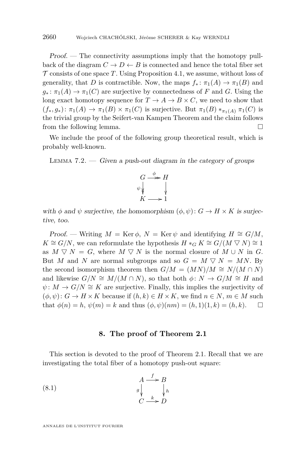Proof. — The connectivity assumptions imply that the homotopy pullback of the diagram  $C \to D \leftarrow B$  is connected and hence the total fiber set  $\mathcal T$  consists of one space  $T$ . Using Proposition [4.1,](#page-14-1) we assume, without loss of generality, that *D* is contractible. Now, the maps  $f_* : \pi_1(A) \to \pi_1(B)$  and  $g_* : \pi_1(A) \to \pi_1(C)$  are surjective by connectedness of *F* and *G*. Using the long exact homotopy sequence for  $T \to A \to B \times C$ , we need to show that  $(f_*, g_*)$ :  $\pi_1(A) \to \pi_1(B) \times \pi_1(C)$  is surjective. But  $\pi_1(B) *_{\pi_1(A)} \pi_1(C)$  is the trivial group by the Seifert-van Kampen Theorem and the claim follows from the following lemma.

We include the proof of the following group theoretical result, which is probably well-known.

LEMMA  $7.2.$  — Given a push-out diagram in the category of groups



with  $\phi$  and  $\psi$  surjective, the homomorphism  $(\phi, \psi) : G \to H \times K$  is surjective, too.

Proof. — Writing  $M = \text{Ker } \phi$ ,  $N = \text{Ker } \psi$  and identifying  $H \cong G/M$ ,  $K \cong G/N$ , we can reformulate the hypothesis  $H *_G K \cong G/(M \nabla N) \cong 1$ as  $M \nabla N = G$ , where  $M \nabla N$  is the normal closure of  $M \cup N$  in *G*. But *M* and *N* are normal subgroups and so  $G = M \nabla N = MN$ . By the second isomorphism theorem then  $G/M = (MN)/M \cong N/(M \cap N)$ and likewise  $G/N \cong M/(M \cap N)$ , so that both  $\phi \colon N \to G/M \cong H$  and  $\psi: M \to G/N \cong K$  are surjective. Finally, this implies the surjectivity of  $(\phi, \psi): G \to H \times K$  because if  $(h, k) \in H \times K$ , we find  $n \in N$ ,  $m \in M$  such that  $\phi(n) = h$ ,  $\psi(m) = k$  and thus  $(\phi, \psi)(nm) = (h, 1)(1, k) = (h, k)$ .

#### **8. The proof of Theorem [2.1](#page-10-3)**

<span id="page-20-0"></span>This section is devoted to the proof of Theorem [2.1.](#page-10-3) Recall that we are investigating the total fiber of a homotopy push-out square:

(8.1) 
$$
A \xrightarrow{f} B
$$

$$
g \downarrow \qquad \qquad \downarrow h
$$

$$
C \xrightarrow{k} D
$$

ANNALES DE L'INSTITUT FOURIER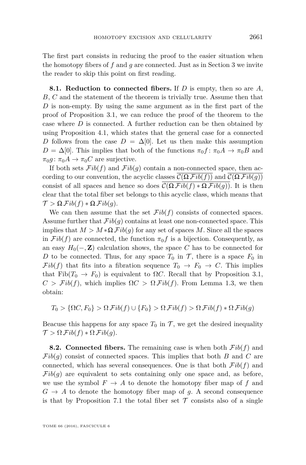The first part consists in reducing the proof to the easier situation when the homotopy fibers of *f* and *g* are connected. Just as in Section [3](#page-12-1) we invite the reader to skip this point on first reading.

**8.1. Reduction to connected fibers.** If *D* is empty, then so are *A*, *B*, *C* and the statement of the theorem is trivially true. Assume then that *D* is non-empty. By using the same argument as in the first part of the proof of Proposition [3.1,](#page-12-0) we can reduce the proof of the theorem to the case where *D* is connected. A further reduction can be then obtained by using Proposition [4.1,](#page-14-1) which states that the general case for a connected *D* follows from the case  $D = \Delta[0]$ . Let us then make this assumption  $D = \Delta[0]$ . This implies that both of the functions  $\pi_0 f : \pi_0 A \to \pi_0 B$  and  $\pi_0 q: \pi_0 A \to \pi_0 C$  are surjective.

If both sets  $Fib(f)$  and  $Fib(g)$  contain a non-connected space, then according to our convention, the acyclic classes  $\overline{C(\Omega \mathcal{F}ib(f))}$  and  $\overline{C(\Omega \mathcal{F}ib(g))}$ consist of all spaces and hence so does  $\overline{C(\Omega \mathcal{F}ib(f) * \Omega} \mathcal{F}ib(g))$ . It is then clear that the total fiber set belongs to this acyclic class, which means that  $\mathcal{T} > \Omega \mathcal{F}ib(f) * \Omega \mathcal{F}ib(g).$ 

We can then assume that the set  $Fib(f)$  consists of connected spaces. Assume further that  $Fib(g)$  contains at least one non-connected space. This implies that  $M > M * \Omega$  Fib(g) for any set of spaces M. Since all the spaces in  $Fib(f)$  are connected, the function  $\pi_0 f$  is a bijection. Consequently, as an easy  $H_0(-, \mathbf{Z})$  calculation shows, the space C has to be connected for *D* to be connected. Thus, for any space  $T_0$  in  $\mathcal{T}$ , there is a space  $F_0$  in  $Fib(f)$  that fits into a fibration sequence  $T_0 \rightarrow F_0 \rightarrow C$ . This implies that Fib( $T_0 \rightarrow F_0$ ) is equivalent to  $\Omega C$ . Recall that by Proposition [3.1,](#page-12-0)  $C > \text{Fib}(f)$ , which implies  $\Omega C > \Omega \text{Fib}(f)$ . From Lemma [1.3,](#page-7-2) we then obtain:

$$
T_0 > \{ \Omega C, F_0 \} > \Omega \mathcal{F}ib(f) \cup \{ F_0 \} > \Omega \mathcal{F}ib(f) > \Omega \mathcal{F}ib(f) * \Omega \mathcal{F}ib(g)
$$

Beacuse this happens for any space  $T_0$  in  $\mathcal T$ , we get the desired inequality  $\mathcal{T} > \Omega \mathcal{F}ib(f) * \Omega \mathcal{F}ib(g).$ 

**8.2. Connected fibers.** The remaining case is when both  $\mathcal{F}ib(f)$  and  $Fib(g)$  consist of connected spaces. This implies that both *B* and *C* are connected, which has several consequences. One is that both  $\mathcal{F}ib(f)$  and  $Fib(q)$  are equivalent to sets containing only one space and, as before, we use the symbol  $F \to A$  to denote the homotopy fiber map of f and  $G \rightarrow A$  to denote the homotopy fiber map of *g*. A second consequence is that by Proposition [7.1](#page-19-0) the total fiber set  $\mathcal T$  consists also of a single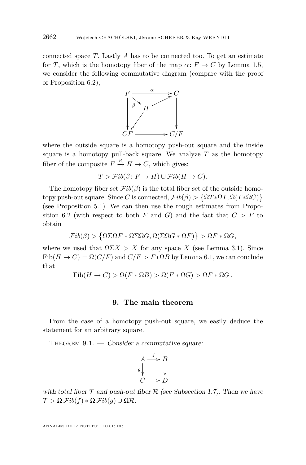connected space *T*. Lastly *A* has to be connected too. To get an estimate for *T*, which is the homotopy fiber of the map  $\alpha: F \to C$  by Lemma [1.5,](#page-9-0) we consider the following commutative diagram (compare with the proof of Proposition [6.2\)](#page-17-0),



where the outside square is a homotopy push-out square and the inside square is a homotopy pull-back square. We analyze  $T$  as the homotopy fiber of the composite  $F \xrightarrow{\beta} H \to C$ , which gives:

$$
T > \mathcal{F}ib(\beta \colon F \to H) \cup \mathcal{F}ib(H \to C).
$$

The homotopy fiber set  $\mathcal{F}ib(\beta)$  is the total fiber set of the outside homo- $\{ \Omega T \ast \Omega T, \Omega (T \ast \Omega C) \}$ (see Proposition [5.1\)](#page-15-0). We can then use the rough estimates from Propo-sition [6.2](#page-17-0) (with respect to both *F* and *G*) and the fact that  $C > F$  to obtain

$$
\mathcal{F}ib(\beta) > \left\{\Omega \Sigma \Omega F \ast \Omega \Sigma \Omega G, \Omega(\Sigma \Omega G \ast \Omega F)\right\} > \Omega F \ast \Omega G,
$$

where we used that  $\Omega \Sigma X > X$  for any space X (see Lemma [3.1\)](#page-12-0). Since Fib $(H \to C) = \Omega(C/F)$  and  $C/F > F * \Omega B$  by Lemma [6.1,](#page-16-0) we can conclude that

$$
Fib(H \to C) > \Omega(F * \Omega B) > \Omega(F * \Omega G) > \Omega F * \Omega G.
$$

#### **9. The main theorem**

From the case of a homotopy push-out square, we easily deduce the statement for an arbitrary square.

<span id="page-22-0"></span>THEOREM  $9.1.$  — Consider a commutative square:

$$
A \xrightarrow{f} B
$$
  
g  

$$
C \longrightarrow D
$$

with total fiber  $\mathcal T$  and push-out fiber  $\mathcal R$  (see Subsection [1.7\)](#page-8-0). Then we have  $\mathcal{T} > \Omega \mathcal{F}ib(f) * \Omega \mathcal{F}ib(g) \cup \Omega \mathcal{R}.$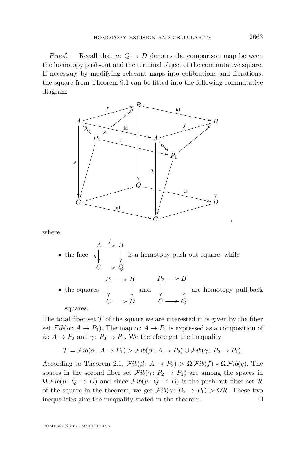Proof. — Recall that  $\mu: Q \to D$  denotes the comparison map between the homotopy push-out and the terminal object of the commutative square. If necessary by modifying relevant maps into cofibrations and fibrations, the square from Theorem [9.1](#page-22-0) can be fitted into the following commutative diagram



where



The total fiber set  $\mathcal T$  of the square we are interested in is given by the fiber set  $\mathcal{F}ib(\alpha: A \to P_1)$ . The map  $\alpha: A \to P_1$  is expressed as a composition of  $\beta: A \to P_2$  and  $\gamma: P_2 \to P_1$ . We therefore get the inequality

$$
\mathcal{T} = \mathcal{F}ib(\alpha: A \to P_1) > \mathcal{F}ib(\beta: A \to P_2) \cup \mathcal{F}ib(\gamma: P_2 \to P_1).
$$

According to Theorem [2.1,](#page-10-3)  $\mathcal{F}ib(\beta: A \to P_2) > \Omega \mathcal{F}ib(f) * \Omega \mathcal{F}ib(g)$ . The spaces in the second fiber set  $Fib(\gamma: P_2 \to P_1)$  are among the spaces in  $\Omega$  Fib( $\mu$ :  $Q \to D$ ) and since Fib( $\mu$ :  $Q \to D$ ) is the push-out fiber set R of the square in the theorem, we get  $\mathcal{F}ib(\gamma: P_2 \to P_1) > \Omega \mathcal{R}$ . These two inequalities give the inequality stated in the theorem.  $\Box$ 

TOME 66 (2016), FASCICULE 6

*,*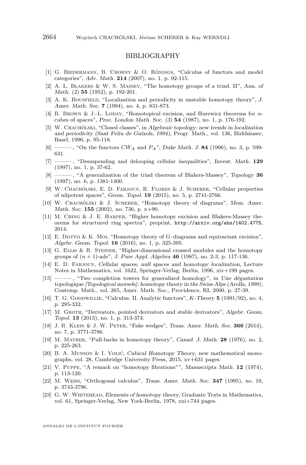#### BIBLIOGRAPHY

- <span id="page-24-13"></span>[1] G. BIEDERMANN, B. CHORNY & O. RÖNDIGS, "Calculus of functors and model categories", Adv. Math. **214** (2007), no. 1, p. 92-115.
- <span id="page-24-3"></span>[2] A. L. Blakers & W. S. Massey, "The homotopy groups of a triad. II", Ann. of Math. (2) **55** (1952), p. 192-201.
- <span id="page-24-2"></span>[3] A. K. BOUSFIELD, "Localization and periodicity in unstable homotopy theory", J. Amer. Math. Soc. **7** (1994), no. 4, p. 831-873.
- <span id="page-24-4"></span>[4] R. Brown & J.-L. Loday, "Homotopical excision, and Hurewicz theorems for *n*cubes of spaces", Proc. London Math. Soc. (3) **54** (1987), no. 1, p. 176-192.
- <span id="page-24-20"></span>[5] W. CHACHÓLSKI, "Closed classes", in Algebraic topology: new trends in localization and periodicity (Sant Feliu de Guíxols, 1994), Progr. Math., vol. 136, Birkhäuser, Basel, 1996, p. 95-118.
- <span id="page-24-6"></span>[6] ——— , "On the functors *CW<sup>A</sup>* and *PA*", Duke Math. J. **84** (1996), no. 3, p. 599- 631.
- <span id="page-24-15"></span>[7] ——— , "Desuspending and delooping cellular inequalities", Invent. Math. **129** (1997), no. 1, p. 37-62.
- <span id="page-24-14"></span>[8] ——— , "A generalization of the triad theorem of Blakers-Massey", Topology **36** (1997), no. 6, p. 1381-1400.
- <span id="page-24-0"></span>[9] W. Chachólski, E. D. Farjoun, R. Flores & J. Scherer, "Cellular properties of nilpotent spaces", Geom. Topol. **19** (2015), no. 5, p. 2741-2766.
- <span id="page-24-19"></span>[10] W. Chachólski & J. Scherer, "Homotopy theory of diagrams", Mem. Amer. Math. Soc. **155** (2002), no. 736, p. x+90.
- <span id="page-24-11"></span>[11] M. Ching & J. E. Harper, "Higher homotopy excision and Blakers-Massey theorems for structured ring spectra", preprint, <http://arxiv.org/abs/1402.4775>, 2014.
- <span id="page-24-12"></span>[12] E. DOTTO & K. MOI, "Homotopy theory of G-diagrams and equivariant excision", Algebr. Geom. Topol. **16** (2016), no. 1, p. 325-395.
- <span id="page-24-5"></span>[13] G. Ellis & R. Steiner, "Higher-dimensional crossed modules and the homotopy groups of (*n* + 1)-ads", J. Pure Appl. Algebra **46** (1987), no. 2-3, p. 117-136.
- <span id="page-24-7"></span>[14] E. D. Farjoun, Cellular spaces, null spaces and homotopy localization, Lecture Notes in Mathematics, vol. 1622, Springer-Verlag, Berlin, 1996, xiv+199 pages.
- <span id="page-24-1"></span>[15] ——— , "Two completion towers for generalized homology", in Une dégustation topologique [Topological morsels]: homotopy theory in the Swiss Alps (Arolla, 1999), Contemp. Math., vol. 265, Amer. Math. Soc., Providence, RI, 2000, p. 27-39.
- <span id="page-24-8"></span>[16] T. G. Goodwillie, "Calculus. II. Analytic functors", *K*-Theory **5** (1991/92), no. 4, p. 295-332.
- <span id="page-24-16"></span>[17] M. Groth, "Derivators, pointed derivators and stable derivators", Algebr. Geom. Topol. **13** (2013), no. 1, p. 313-374.
- <span id="page-24-21"></span>[18] J. R. Klein & J. W. Peter, "Fake wedges", Trans. Amer. Math. Soc. **366** (2014), no. 7, p. 3771-3786.
- <span id="page-24-22"></span>[19] M. Mather, "Pull-backs in homotopy theory", Canad. J. Math. **28** (1976), no. 2, p. 225-263.
- <span id="page-24-9"></span>[20] B. A. Munson & I. Volić, Cubical Homotopy Theory, new mathematical monographs, vol. 28, Cambridge University Press, 2015, xv+631 pages.
- <span id="page-24-17"></span>[21] V. Puppe, "A remark on "homotopy fibrations"", Manuscripta Math. **12** (1974), p. 113-120.
- <span id="page-24-10"></span>[22] M. Weiss, "Orthogonal calculus", Trans. Amer. Math. Soc. **347** (1995), no. 10, p. 3743-3796.
- <span id="page-24-18"></span>[23] G. W. WHITEHEAD, Elements of homotopy theory, Graduate Texts in Mathematics, vol. 61, Springer-Verlag, New York-Berlin, 1978, xxi+744 pages.